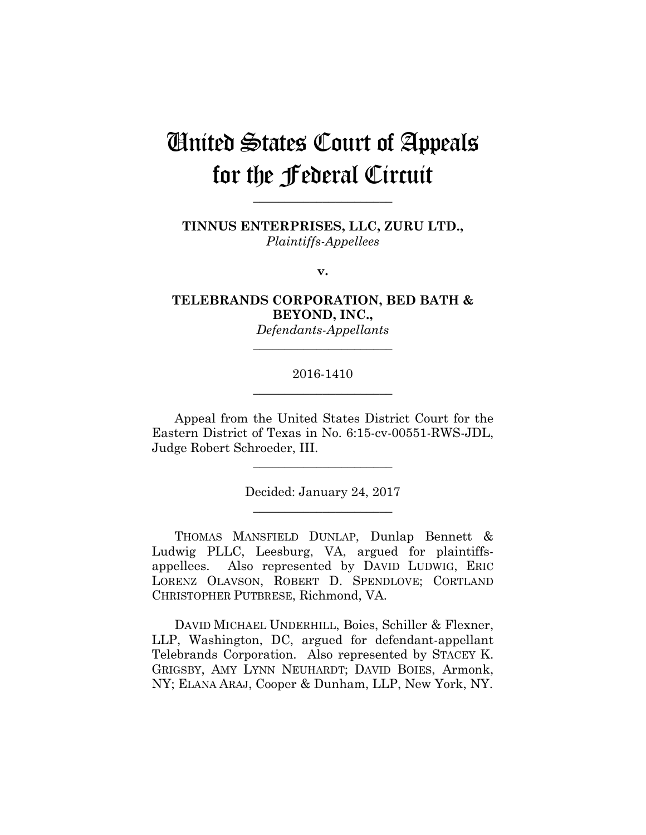# United States Court of Appeals for the Federal Circuit

**TINNUS ENTERPRISES, LLC, ZURU LTD.,** *Plaintiffs-Appellees*

**\_\_\_\_\_\_\_\_\_\_\_\_\_\_\_\_\_\_\_\_\_\_** 

**v.**

**TELEBRANDS CORPORATION, BED BATH & BEYOND, INC.,**

> *Defendants-Appellants* **\_\_\_\_\_\_\_\_\_\_\_\_\_\_\_\_\_\_\_\_\_\_**

# 2016-1410 **\_\_\_\_\_\_\_\_\_\_\_\_\_\_\_\_\_\_\_\_\_\_**

Appeal from the United States District Court for the Eastern District of Texas in No. 6:15-cv-00551-RWS-JDL, Judge Robert Schroeder, III.

**\_\_\_\_\_\_\_\_\_\_\_\_\_\_\_\_\_\_\_\_\_\_** 

Decided: January 24, 2017 **\_\_\_\_\_\_\_\_\_\_\_\_\_\_\_\_\_\_\_\_\_\_** 

 THOMAS MANSFIELD DUNLAP, Dunlap Bennett & Ludwig PLLC, Leesburg, VA, argued for plaintiffsappellees. Also represented by DAVID LUDWIG, ERIC LORENZ OLAVSON, ROBERT D. SPENDLOVE; CORTLAND CHRISTOPHER PUTBRESE, Richmond, VA.

 DAVID MICHAEL UNDERHILL, Boies, Schiller & Flexner, LLP, Washington, DC, argued for defendant-appellant Telebrands Corporation. Also represented by STACEY K. GRIGSBY, AMY LYNN NEUHARDT; DAVID BOIES, Armonk, NY; ELANA ARAJ, Cooper & Dunham, LLP, New York, NY.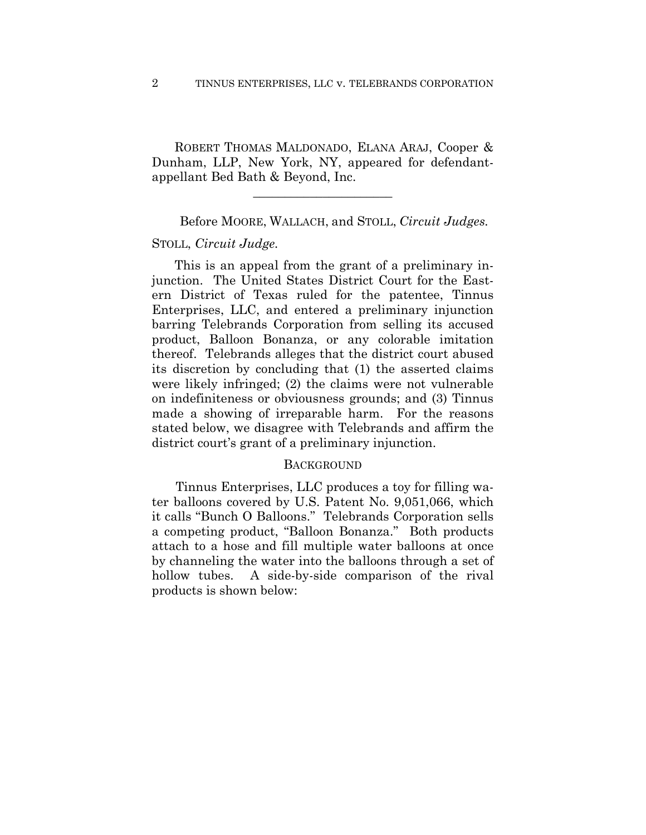ROBERT THOMAS MALDONADO, ELANA ARAJ, Cooper & Dunham, LLP, New York, NY, appeared for defendantappellant Bed Bath & Beyond, Inc.

**\_\_\_\_\_\_\_\_\_\_\_\_\_\_\_\_\_\_\_\_\_\_** 

Before MOORE, WALLACH, and STOLL, *Circuit Judges.*

#### STOLL, *Circuit Judge.*

This is an appeal from the grant of a preliminary injunction. The United States District Court for the Eastern District of Texas ruled for the patentee, Tinnus Enterprises, LLC, and entered a preliminary injunction barring Telebrands Corporation from selling its accused product, Balloon Bonanza, or any colorable imitation thereof. Telebrands alleges that the district court abused its discretion by concluding that (1) the asserted claims were likely infringed; (2) the claims were not vulnerable on indefiniteness or obviousness grounds; and (3) Tinnus made a showing of irreparable harm. For the reasons stated below, we disagree with Telebrands and affirm the district court's grant of a preliminary injunction.

### **BACKGROUND**

Tinnus Enterprises, LLC produces a toy for filling water balloons covered by U.S. Patent No. 9,051,066, which it calls "Bunch O Balloons." Telebrands Corporation sells a competing product, "Balloon Bonanza." Both products attach to a hose and fill multiple water balloons at once by channeling the water into the balloons through a set of hollow tubes. A side-by-side comparison of the rival products is shown below: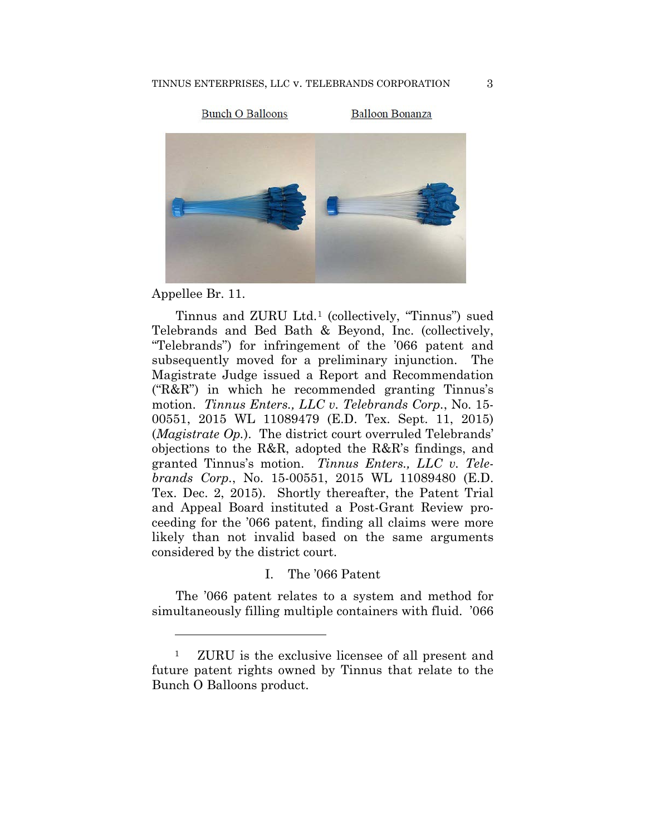**Bunch O Balloons** 

**Balloon Bonanza** 



Appellee Br. 11.

<u>.</u>

Tinnus and ZURU Ltd.1 (collectively, "Tinnus") sued Telebrands and Bed Bath & Beyond, Inc. (collectively, "Telebrands") for infringement of the '066 patent and subsequently moved for a preliminary injunction. The Magistrate Judge issued a Report and Recommendation ("R&R") in which he recommended granting Tinnus's motion. *Tinnus Enters., LLC v. Telebrands Corp.*, No. 15- 00551, 2015 WL 11089479 (E.D. Tex. Sept. 11, 2015) (*Magistrate Op.*). The district court overruled Telebrands' objections to the R&R, adopted the R&R's findings, and granted Tinnus's motion. *Tinnus Enters., LLC v. Telebrands Corp.*, No. 15-00551, 2015 WL 11089480 (E.D. Tex. Dec. 2, 2015). Shortly thereafter, the Patent Trial and Appeal Board instituted a Post-Grant Review proceeding for the '066 patent, finding all claims were more likely than not invalid based on the same arguments considered by the district court.

## I. The '066 Patent

The '066 patent relates to a system and method for simultaneously filling multiple containers with fluid. '066

<sup>1</sup> ZURU is the exclusive licensee of all present and future patent rights owned by Tinnus that relate to the Bunch O Balloons product.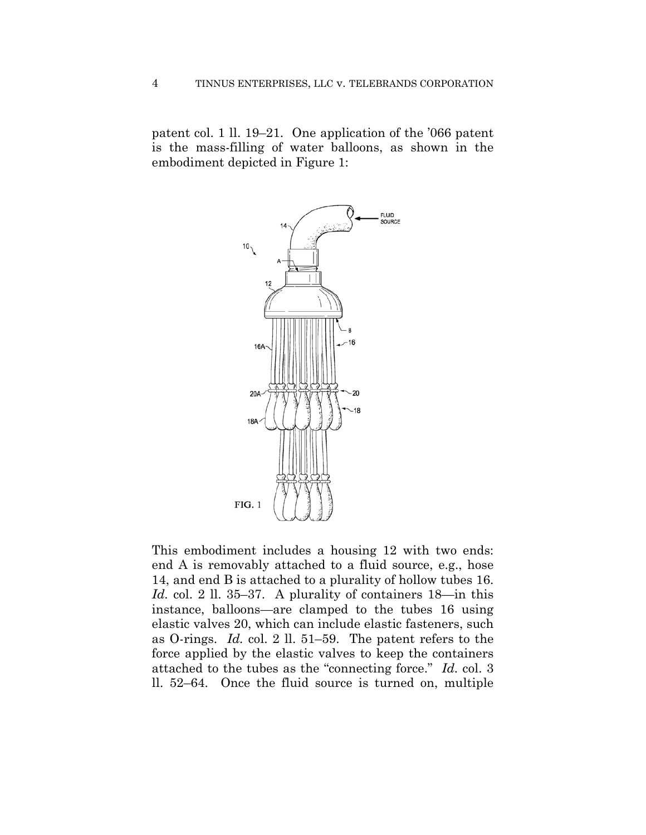patent col. 1 ll. 19–21. One application of the '066 patent is the mass-filling of water balloons, as shown in the embodiment depicted in Figure 1:



This embodiment includes a housing 12 with two ends: end A is removably attached to a fluid source, e.g., hose 14, and end B is attached to a plurality of hollow tubes 16. *Id.* col. 2 ll. 35–37. A plurality of containers 18—in this instance, balloons—are clamped to the tubes 16 using elastic valves 20, which can include elastic fasteners, such as O-rings. *Id.* col. 2 ll. 51–59. The patent refers to the force applied by the elastic valves to keep the containers attached to the tubes as the "connecting force." *Id.* col. 3 ll. 52–64. Once the fluid source is turned on, multiple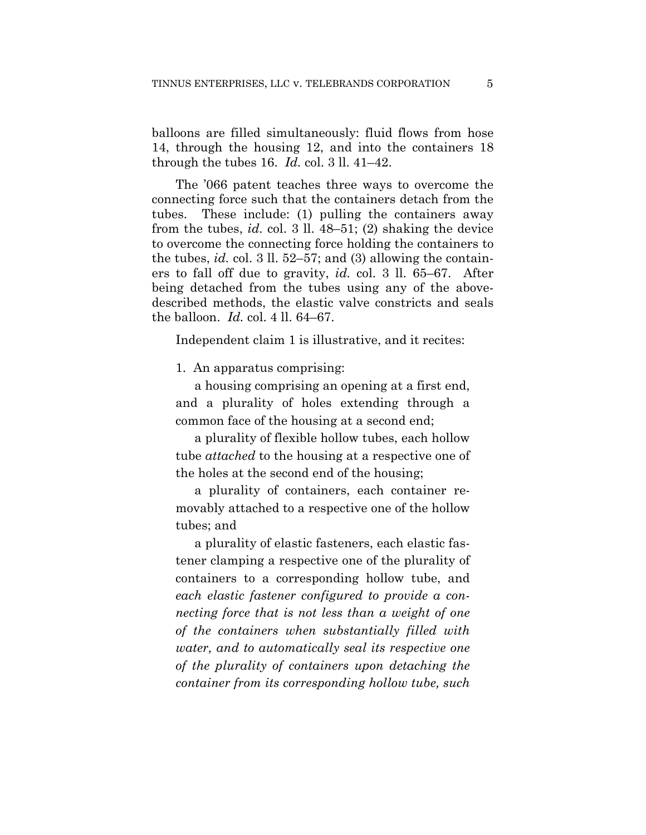balloons are filled simultaneously: fluid flows from hose 14, through the housing 12, and into the containers 18 through the tubes 16. *Id.* col. 3 ll. 41–42.

The '066 patent teaches three ways to overcome the connecting force such that the containers detach from the tubes. These include: (1) pulling the containers away from the tubes, *id.* col. 3 ll. 48–51; (2) shaking the device to overcome the connecting force holding the containers to the tubes, *id.* col. 3 ll. 52–57; and (3) allowing the containers to fall off due to gravity, *id.* col. 3 ll. 65–67. After being detached from the tubes using any of the abovedescribed methods, the elastic valve constricts and seals the balloon. *Id.* col. 4 ll. 64–67.

Independent claim 1 is illustrative, and it recites:

1. An apparatus comprising:

a housing comprising an opening at a first end, and a plurality of holes extending through a common face of the housing at a second end;

a plurality of flexible hollow tubes, each hollow tube *attached* to the housing at a respective one of the holes at the second end of the housing;

a plurality of containers, each container removably attached to a respective one of the hollow tubes; and

a plurality of elastic fasteners, each elastic fastener clamping a respective one of the plurality of containers to a corresponding hollow tube, and *each elastic fastener configured to provide a connecting force that is not less than a weight of one of the containers when substantially filled with water, and to automatically seal its respective one of the plurality of containers upon detaching the container from its corresponding hollow tube, such*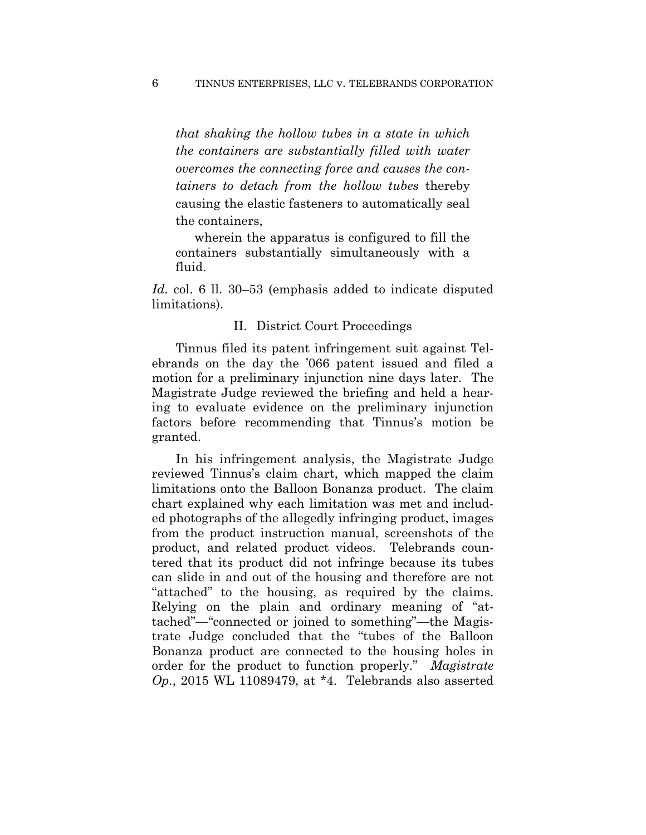*that shaking the hollow tubes in a state in which the containers are substantially filled with water overcomes the connecting force and causes the containers to detach from the hollow tubes* thereby causing the elastic fasteners to automatically seal the containers,

wherein the apparatus is configured to fill the containers substantially simultaneously with a fluid.

*Id.* col. 6 ll. 30–53 (emphasis added to indicate disputed limitations).

## II. District Court Proceedings

Tinnus filed its patent infringement suit against Telebrands on the day the '066 patent issued and filed a motion for a preliminary injunction nine days later. The Magistrate Judge reviewed the briefing and held a hearing to evaluate evidence on the preliminary injunction factors before recommending that Tinnus's motion be granted.

In his infringement analysis, the Magistrate Judge reviewed Tinnus's claim chart, which mapped the claim limitations onto the Balloon Bonanza product. The claim chart explained why each limitation was met and included photographs of the allegedly infringing product, images from the product instruction manual, screenshots of the product, and related product videos. Telebrands countered that its product did not infringe because its tubes can slide in and out of the housing and therefore are not "attached" to the housing, as required by the claims. Relying on the plain and ordinary meaning of "attached"—"connected or joined to something"—the Magistrate Judge concluded that the "tubes of the Balloon Bonanza product are connected to the housing holes in order for the product to function properly." *Magistrate Op.*, 2015 WL 11089479, at \*4. Telebrands also asserted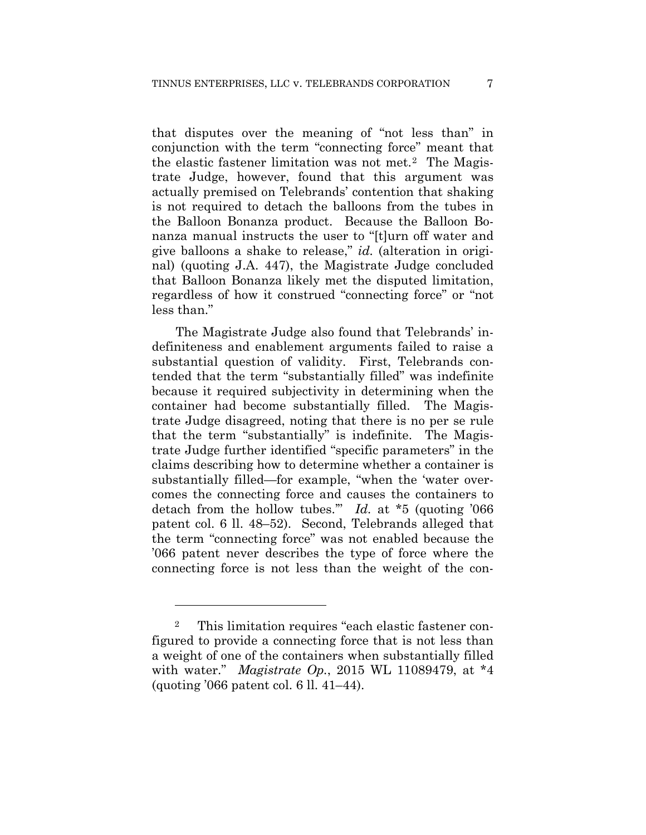that disputes over the meaning of "not less than" in conjunction with the term "connecting force" meant that the elastic fastener limitation was not met.2 The Magistrate Judge, however, found that this argument was actually premised on Telebrands' contention that shaking is not required to detach the balloons from the tubes in the Balloon Bonanza product. Because the Balloon Bonanza manual instructs the user to "[t]urn off water and give balloons a shake to release," *id.* (alteration in original) (quoting J.A. 447), the Magistrate Judge concluded that Balloon Bonanza likely met the disputed limitation, regardless of how it construed "connecting force" or "not less than."

The Magistrate Judge also found that Telebrands' indefiniteness and enablement arguments failed to raise a substantial question of validity. First, Telebrands contended that the term "substantially filled" was indefinite because it required subjectivity in determining when the container had become substantially filled. The Magistrate Judge disagreed, noting that there is no per se rule that the term "substantially" is indefinite. The Magistrate Judge further identified "specific parameters" in the claims describing how to determine whether a container is substantially filled—for example, "when the 'water overcomes the connecting force and causes the containers to detach from the hollow tubes.'" *Id.* at \*5 (quoting '066 patent col. 6 ll. 48–52). Second, Telebrands alleged that the term "connecting force" was not enabled because the '066 patent never describes the type of force where the connecting force is not less than the weight of the con-

1

<sup>2</sup> This limitation requires "each elastic fastener configured to provide a connecting force that is not less than a weight of one of the containers when substantially filled with water." *Magistrate Op.*, 2015 WL 11089479, at \*4 (quoting '066 patent col. 6 ll. 41–44).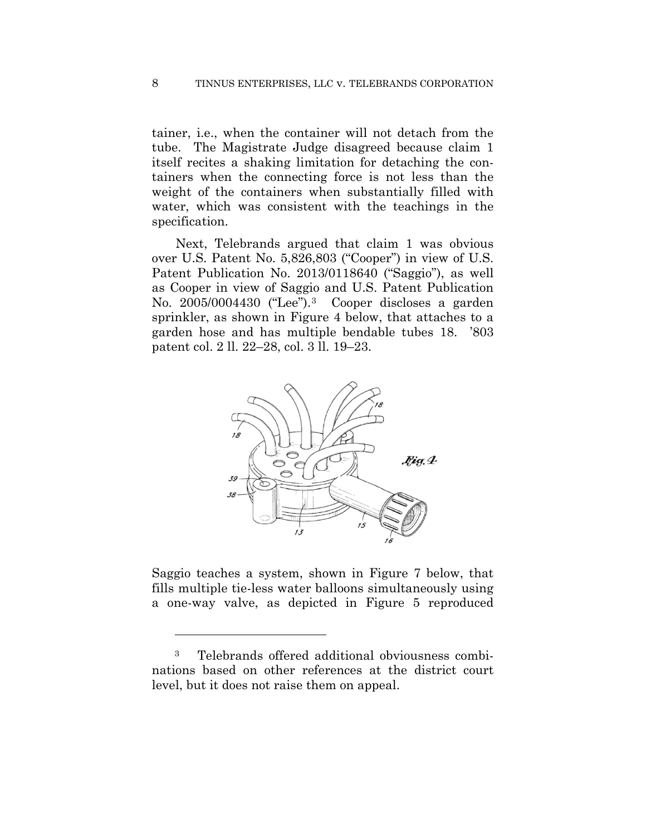tainer, i.e., when the container will not detach from the tube. The Magistrate Judge disagreed because claim 1 itself recites a shaking limitation for detaching the containers when the connecting force is not less than the weight of the containers when substantially filled with water, which was consistent with the teachings in the specification.

Next, Telebrands argued that claim 1 was obvious over U.S. Patent No. 5,826,803 ("Cooper") in view of U.S. Patent Publication No. 2013/0118640 ("Saggio"), as well as Cooper in view of Saggio and U.S. Patent Publication No. 2005/0004430 ("Lee").3 Cooper discloses a garden sprinkler, as shown in Figure 4 below, that attaches to a garden hose and has multiple bendable tubes 18. '803 patent col. 2 ll. 22–28, col. 3 ll. 19–23.



Saggio teaches a system, shown in Figure 7 below, that fills multiple tie-less water balloons simultaneously using a one-way valve, as depicted in Figure 5 reproduced

<u>.</u>

<sup>3</sup> Telebrands offered additional obviousness combinations based on other references at the district court level, but it does not raise them on appeal.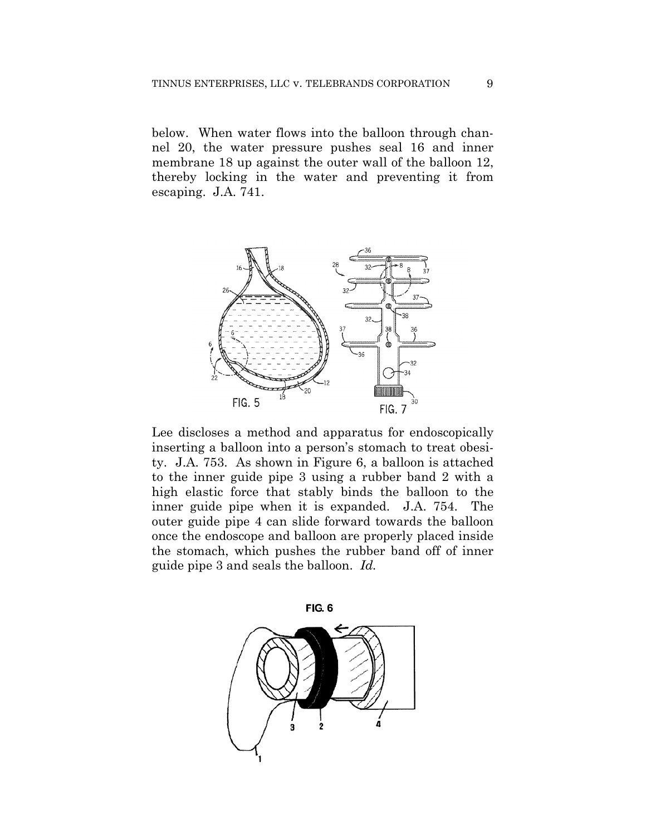below. When water flows into the balloon through channel 20, the water pressure pushes seal 16 and inner membrane 18 up against the outer wall of the balloon 12, thereby locking in the water and preventing it from escaping. J.A. 741.



Lee discloses a method and apparatus for endoscopically inserting a balloon into a person's stomach to treat obesity. J.A. 753. As shown in Figure 6, a balloon is attached to the inner guide pipe 3 using a rubber band 2 with a high elastic force that stably binds the balloon to the inner guide pipe when it is expanded. J.A. 754. The outer guide pipe 4 can slide forward towards the balloon once the endoscope and balloon are properly placed inside the stomach, which pushes the rubber band off of inner guide pipe 3 and seals the balloon. *Id.*

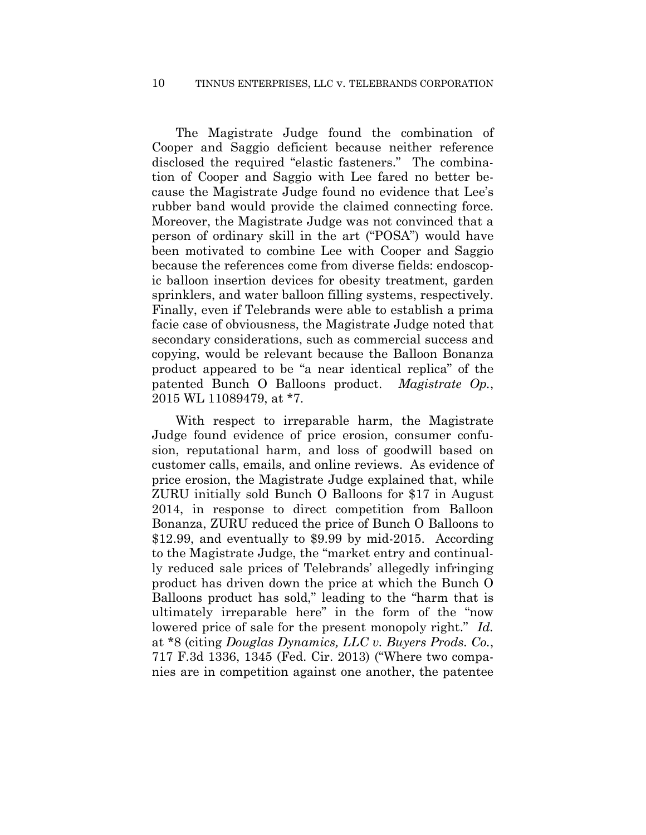#### 10 TINNUS ENTERPRISES, LLC v. TELEBRANDS CORPORATION

The Magistrate Judge found the combination of Cooper and Saggio deficient because neither reference disclosed the required "elastic fasteners." The combination of Cooper and Saggio with Lee fared no better because the Magistrate Judge found no evidence that Lee's rubber band would provide the claimed connecting force. Moreover, the Magistrate Judge was not convinced that a person of ordinary skill in the art ("POSA") would have been motivated to combine Lee with Cooper and Saggio because the references come from diverse fields: endoscopic balloon insertion devices for obesity treatment, garden sprinklers, and water balloon filling systems, respectively. Finally, even if Telebrands were able to establish a prima facie case of obviousness, the Magistrate Judge noted that secondary considerations, such as commercial success and copying, would be relevant because the Balloon Bonanza product appeared to be "a near identical replica" of the patented Bunch O Balloons product. *Magistrate Op.*, 2015 WL 11089479, at \*7.

With respect to irreparable harm, the Magistrate Judge found evidence of price erosion, consumer confusion, reputational harm, and loss of goodwill based on customer calls, emails, and online reviews. As evidence of price erosion, the Magistrate Judge explained that, while ZURU initially sold Bunch O Balloons for \$17 in August 2014, in response to direct competition from Balloon Bonanza, ZURU reduced the price of Bunch O Balloons to \$12.99, and eventually to \$9.99 by mid-2015. According to the Magistrate Judge, the "market entry and continually reduced sale prices of Telebrands' allegedly infringing product has driven down the price at which the Bunch O Balloons product has sold," leading to the "harm that is ultimately irreparable here" in the form of the "now lowered price of sale for the present monopoly right." *Id.* at \*8 (citing *Douglas Dynamics, LLC v. Buyers Prods. Co.*, 717 F.3d 1336, 1345 (Fed. Cir. 2013) ("Where two companies are in competition against one another, the patentee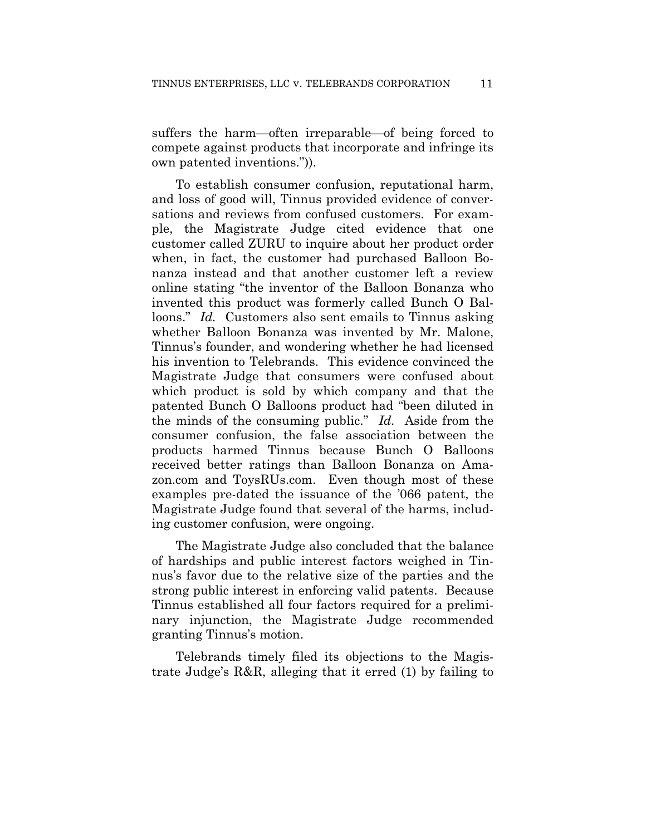suffers the harm—often irreparable—of being forced to compete against products that incorporate and infringe its own patented inventions.")).

To establish consumer confusion, reputational harm, and loss of good will, Tinnus provided evidence of conversations and reviews from confused customers. For example, the Magistrate Judge cited evidence that one customer called ZURU to inquire about her product order when, in fact, the customer had purchased Balloon Bonanza instead and that another customer left a review online stating "the inventor of the Balloon Bonanza who invented this product was formerly called Bunch O Balloons." *Id.* Customers also sent emails to Tinnus asking whether Balloon Bonanza was invented by Mr. Malone, Tinnus's founder, and wondering whether he had licensed his invention to Telebrands. This evidence convinced the Magistrate Judge that consumers were confused about which product is sold by which company and that the patented Bunch O Balloons product had "been diluted in the minds of the consuming public." *Id.* Aside from the consumer confusion, the false association between the products harmed Tinnus because Bunch O Balloons received better ratings than Balloon Bonanza on Amazon.com and ToysRUs.com. Even though most of these examples pre-dated the issuance of the '066 patent, the Magistrate Judge found that several of the harms, including customer confusion, were ongoing.

The Magistrate Judge also concluded that the balance of hardships and public interest factors weighed in Tinnus's favor due to the relative size of the parties and the strong public interest in enforcing valid patents. Because Tinnus established all four factors required for a preliminary injunction, the Magistrate Judge recommended granting Tinnus's motion.

Telebrands timely filed its objections to the Magistrate Judge's R&R, alleging that it erred (1) by failing to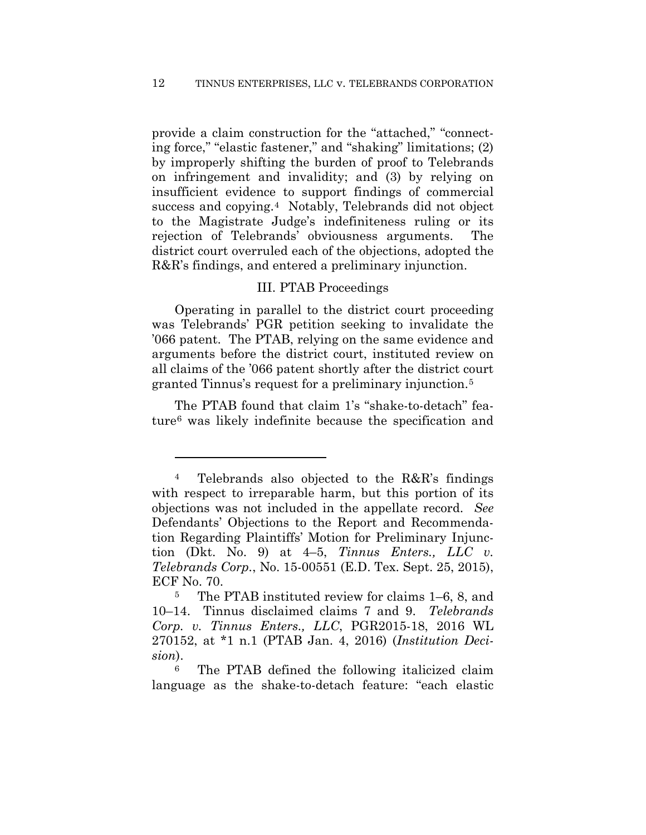provide a claim construction for the "attached," "connecting force," "elastic fastener," and "shaking" limitations; (2) by improperly shifting the burden of proof to Telebrands on infringement and invalidity; and (3) by relying on insufficient evidence to support findings of commercial success and copying.<sup>4</sup> Notably, Telebrands did not object to the Magistrate Judge's indefiniteness ruling or its rejection of Telebrands' obviousness arguments. The district court overruled each of the objections, adopted the R&R's findings, and entered a preliminary injunction.

## III. PTAB Proceedings

Operating in parallel to the district court proceeding was Telebrands' PGR petition seeking to invalidate the '066 patent. The PTAB, relying on the same evidence and arguments before the district court, instituted review on all claims of the '066 patent shortly after the district court granted Tinnus's request for a preliminary injunction.5

The PTAB found that claim 1's "shake-to-detach" feature6 was likely indefinite because the specification and

<u>.</u>

<sup>4</sup> Telebrands also objected to the R&R's findings with respect to irreparable harm, but this portion of its objections was not included in the appellate record. *See*  Defendants' Objections to the Report and Recommendation Regarding Plaintiffs' Motion for Preliminary Injunction (Dkt. No. 9) at 4–5, *Tinnus Enters., LLC v. Telebrands Corp.*, No. 15-00551 (E.D. Tex. Sept. 25, 2015), ECF No. 70.

<sup>5</sup> The PTAB instituted review for claims 1–6, 8, and 10–14. Tinnus disclaimed claims 7 and 9. *Telebrands Corp. v. Tinnus Enters., LLC*, PGR2015-18, 2016 WL 270152, at \*1 n.1 (PTAB Jan. 4, 2016) (*Institution Decision*).

<sup>6</sup> The PTAB defined the following italicized claim language as the shake-to-detach feature: "each elastic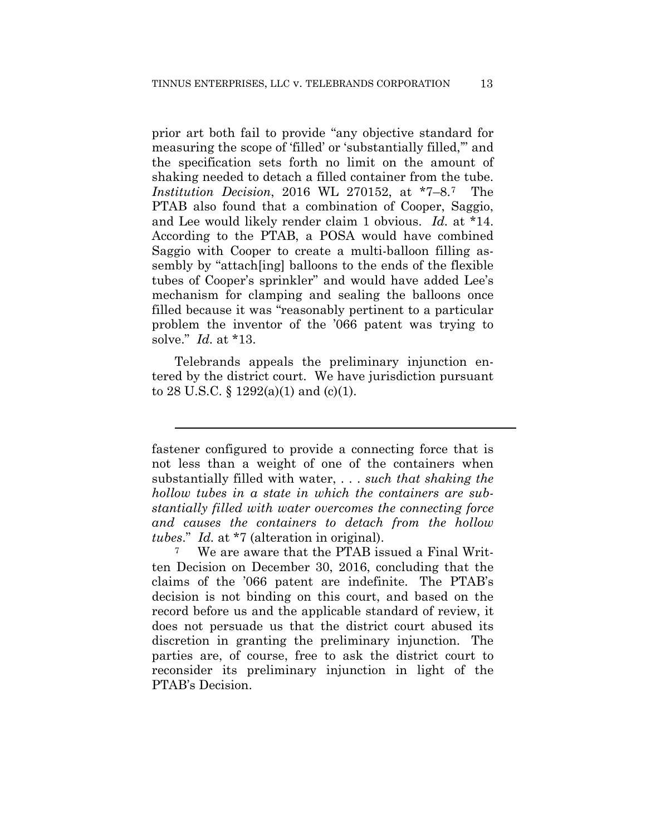prior art both fail to provide "any objective standard for measuring the scope of 'filled' or 'substantially filled,'" and the specification sets forth no limit on the amount of shaking needed to detach a filled container from the tube. *Institution Decision*, 2016 WL 270152, at \*7–8.7 The PTAB also found that a combination of Cooper, Saggio, and Lee would likely render claim 1 obvious. *Id.* at \*14. According to the PTAB, a POSA would have combined Saggio with Cooper to create a multi-balloon filling assembly by "attach[ing] balloons to the ends of the flexible tubes of Cooper's sprinkler" and would have added Lee's mechanism for clamping and sealing the balloons once filled because it was "reasonably pertinent to a particular problem the inventor of the '066 patent was trying to solve." *Id.* at \*13.

Telebrands appeals the preliminary injunction entered by the district court. We have jurisdiction pursuant to 28 U.S.C.  $\S$  1292(a)(1) and (c)(1).

l

fastener configured to provide a connecting force that is not less than a weight of one of the containers when substantially filled with water, . . . *such that shaking the hollow tubes in a state in which the containers are substantially filled with water overcomes the connecting force and causes the containers to detach from the hollow tubes*." *Id.* at \*7 (alteration in original).

<sup>7</sup> We are aware that the PTAB issued a Final Written Decision on December 30, 2016, concluding that the claims of the '066 patent are indefinite. The PTAB's decision is not binding on this court, and based on the record before us and the applicable standard of review, it does not persuade us that the district court abused its discretion in granting the preliminary injunction. The parties are, of course, free to ask the district court to reconsider its preliminary injunction in light of the PTAB's Decision.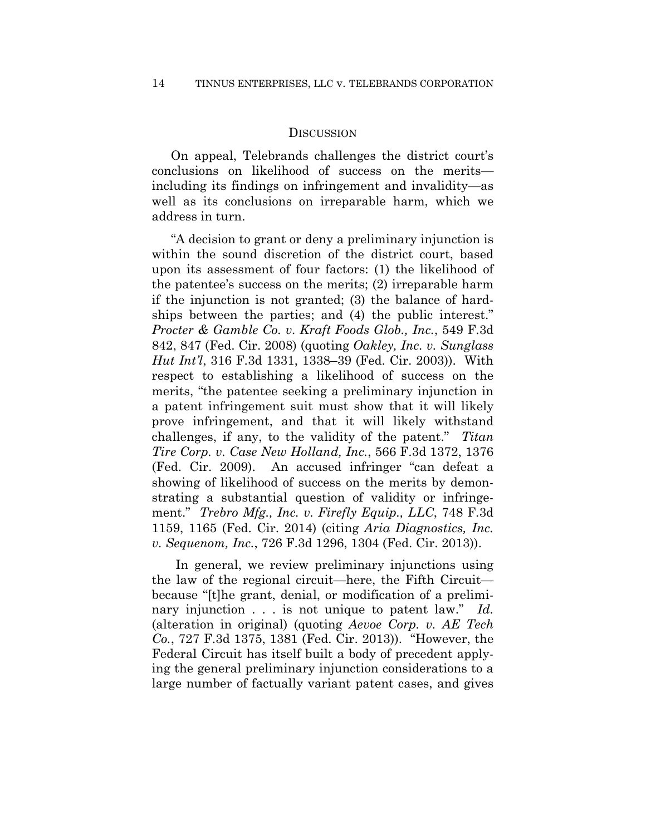#### **DISCUSSION**

On appeal, Telebrands challenges the district court's conclusions on likelihood of success on the merits including its findings on infringement and invalidity—as well as its conclusions on irreparable harm, which we address in turn.

"A decision to grant or deny a preliminary injunction is within the sound discretion of the district court, based upon its assessment of four factors: (1) the likelihood of the patentee's success on the merits; (2) irreparable harm if the injunction is not granted; (3) the balance of hardships between the parties; and (4) the public interest." *Procter & Gamble Co. v. Kraft Foods Glob., Inc.*, 549 F.3d 842, 847 (Fed. Cir. 2008) (quoting *Oakley, Inc. v. Sunglass Hut Int'l*, 316 F.3d 1331, 1338–39 (Fed. Cir. 2003)). With respect to establishing a likelihood of success on the merits, "the patentee seeking a preliminary injunction in a patent infringement suit must show that it will likely prove infringement, and that it will likely withstand challenges, if any, to the validity of the patent." *Titan Tire Corp. v. Case New Holland, Inc.*, 566 F.3d 1372, 1376 (Fed. Cir. 2009). An accused infringer "can defeat a showing of likelihood of success on the merits by demonstrating a substantial question of validity or infringement." *Trebro Mfg., Inc. v. Firefly Equip., LLC*, 748 F.3d 1159, 1165 (Fed. Cir. 2014) (citing *Aria Diagnostics, Inc. v. Sequenom, Inc.*, 726 F.3d 1296, 1304 (Fed. Cir. 2013)).

In general, we review preliminary injunctions using the law of the regional circuit—here, the Fifth Circuit because "[t]he grant, denial, or modification of a preliminary injunction . . . is not unique to patent law." *Id.* (alteration in original) (quoting *Aevoe Corp. v. AE Tech Co.*, 727 F.3d 1375, 1381 (Fed. Cir. 2013)). "However, the Federal Circuit has itself built a body of precedent applying the general preliminary injunction considerations to a large number of factually variant patent cases, and gives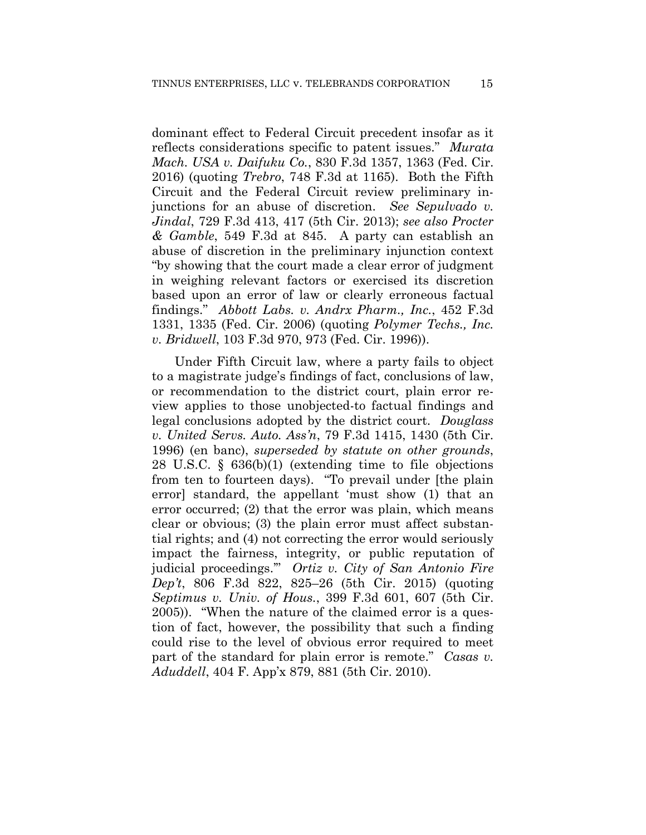dominant effect to Federal Circuit precedent insofar as it reflects considerations specific to patent issues." *Murata Mach. USA v. Daifuku Co.*, 830 F.3d 1357, 1363 (Fed. Cir. 2016) (quoting *Trebro*, 748 F.3d at 1165). Both the Fifth Circuit and the Federal Circuit review preliminary injunctions for an abuse of discretion. *See Sepulvado v. Jindal*, 729 F.3d 413, 417 (5th Cir. 2013); *see also Procter & Gamble*, 549 F.3d at 845. A party can establish an abuse of discretion in the preliminary injunction context "by showing that the court made a clear error of judgment in weighing relevant factors or exercised its discretion based upon an error of law or clearly erroneous factual findings." *Abbott Labs. v. Andrx Pharm., Inc.*, 452 F.3d 1331, 1335 (Fed. Cir. 2006) (quoting *Polymer Techs., Inc. v. Bridwell*, 103 F.3d 970, 973 (Fed. Cir. 1996)).

Under Fifth Circuit law, where a party fails to object to a magistrate judge's findings of fact, conclusions of law, or recommendation to the district court, plain error review applies to those unobjected-to factual findings and legal conclusions adopted by the district court. *Douglass v. United Servs. Auto. Ass'n*, 79 F.3d 1415, 1430 (5th Cir. 1996) (en banc), *superseded by statute on other grounds*, 28 U.S.C. § 636(b)(1) (extending time to file objections from ten to fourteen days). "To prevail under [the plain error] standard, the appellant 'must show (1) that an error occurred; (2) that the error was plain, which means clear or obvious; (3) the plain error must affect substantial rights; and (4) not correcting the error would seriously impact the fairness, integrity, or public reputation of judicial proceedings.'" *Ortiz v. City of San Antonio Fire Dep't*, 806 F.3d 822, 825–26 (5th Cir. 2015) (quoting *Septimus v. Univ. of Hous.*, 399 F.3d 601, 607 (5th Cir. 2005)). "When the nature of the claimed error is a question of fact, however, the possibility that such a finding could rise to the level of obvious error required to meet part of the standard for plain error is remote." *Casas v. Aduddell*, 404 F. App'x 879, 881 (5th Cir. 2010).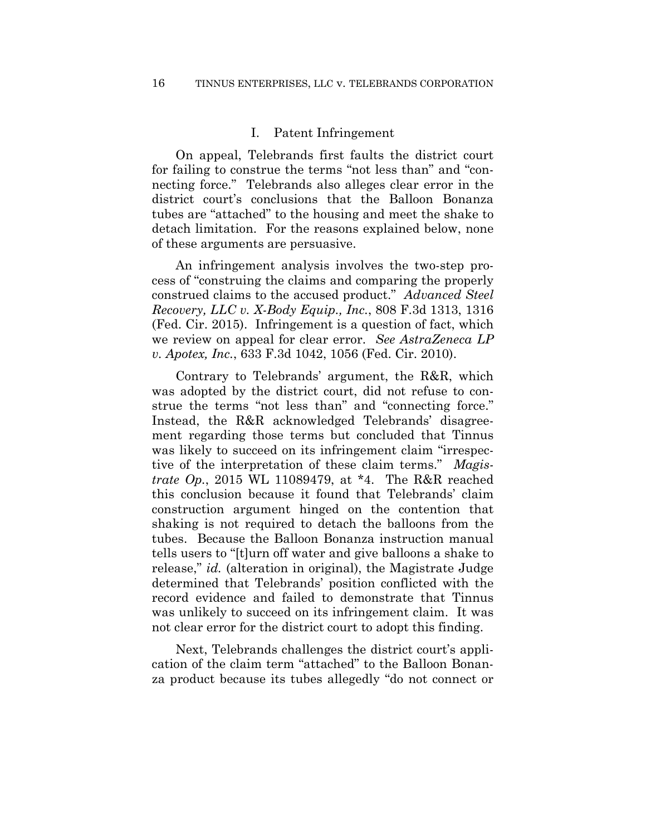#### I. Patent Infringement

On appeal, Telebrands first faults the district court for failing to construe the terms "not less than" and "connecting force." Telebrands also alleges clear error in the district court's conclusions that the Balloon Bonanza tubes are "attached" to the housing and meet the shake to detach limitation. For the reasons explained below, none of these arguments are persuasive.

An infringement analysis involves the two-step process of "construing the claims and comparing the properly construed claims to the accused product." *Advanced Steel Recovery, LLC v. X-Body Equip., Inc.*, 808 F.3d 1313, 1316 (Fed. Cir. 2015). Infringement is a question of fact, which we review on appeal for clear error. *See AstraZeneca LP v. Apotex, Inc.*, 633 F.3d 1042, 1056 (Fed. Cir. 2010).

Contrary to Telebrands' argument, the R&R, which was adopted by the district court, did not refuse to construe the terms "not less than" and "connecting force." Instead, the R&R acknowledged Telebrands' disagreement regarding those terms but concluded that Tinnus was likely to succeed on its infringement claim "irrespective of the interpretation of these claim terms." *Magistrate Op.*, 2015 WL 11089479, at \*4. The R&R reached this conclusion because it found that Telebrands' claim construction argument hinged on the contention that shaking is not required to detach the balloons from the tubes. Because the Balloon Bonanza instruction manual tells users to "[t]urn off water and give balloons a shake to release," *id.* (alteration in original), the Magistrate Judge determined that Telebrands' position conflicted with the record evidence and failed to demonstrate that Tinnus was unlikely to succeed on its infringement claim. It was not clear error for the district court to adopt this finding.

Next, Telebrands challenges the district court's application of the claim term "attached" to the Balloon Bonanza product because its tubes allegedly "do not connect or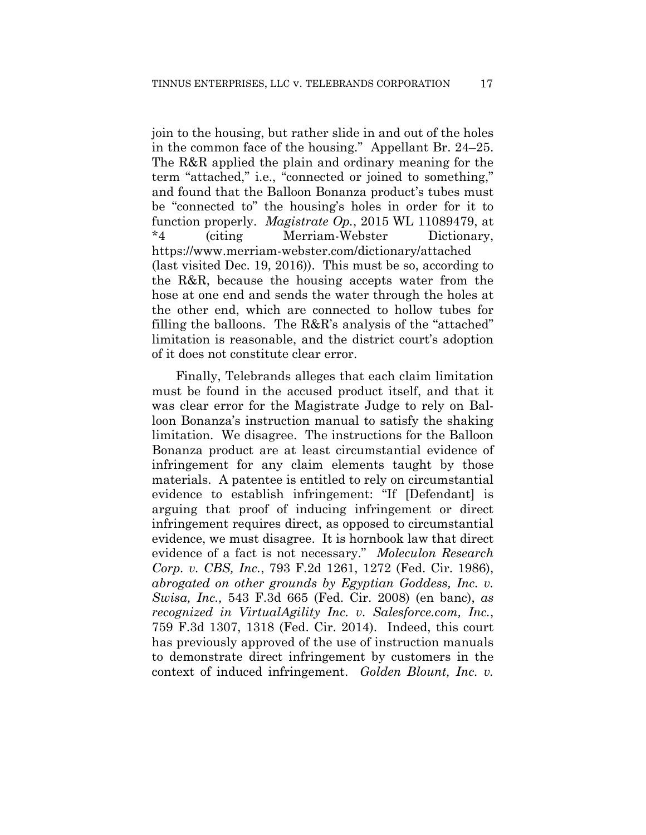join to the housing, but rather slide in and out of the holes in the common face of the housing." Appellant Br. 24–25. The R&R applied the plain and ordinary meaning for the term "attached," i.e., "connected or joined to something," and found that the Balloon Bonanza product's tubes must be "connected to" the housing's holes in order for it to function properly. *Magistrate Op.*, 2015 WL 11089479, at \*4 (citing Merriam-Webster Dictionary, https://www.merriam-webster.com/dictionary/attached (last visited Dec. 19, 2016)). This must be so, according to the R&R, because the housing accepts water from the hose at one end and sends the water through the holes at the other end, which are connected to hollow tubes for filling the balloons. The R&R's analysis of the "attached" limitation is reasonable, and the district court's adoption of it does not constitute clear error.

Finally, Telebrands alleges that each claim limitation must be found in the accused product itself, and that it was clear error for the Magistrate Judge to rely on Balloon Bonanza's instruction manual to satisfy the shaking limitation. We disagree. The instructions for the Balloon Bonanza product are at least circumstantial evidence of infringement for any claim elements taught by those materials. A patentee is entitled to rely on circumstantial evidence to establish infringement: "If [Defendant] is arguing that proof of inducing infringement or direct infringement requires direct, as opposed to circumstantial evidence, we must disagree. It is hornbook law that direct evidence of a fact is not necessary." *Moleculon Research Corp. v. CBS, Inc.*, 793 F.2d 1261, 1272 (Fed. Cir. 1986), *abrogated on other grounds by Egyptian Goddess, Inc. v. Swisa, Inc.,* 543 F.3d 665 (Fed. Cir. 2008) (en banc), *as recognized in VirtualAgility Inc. v. Salesforce.com, Inc.*, 759 F.3d 1307, 1318 (Fed. Cir. 2014). Indeed, this court has previously approved of the use of instruction manuals to demonstrate direct infringement by customers in the context of induced infringement. *Golden Blount, Inc. v.*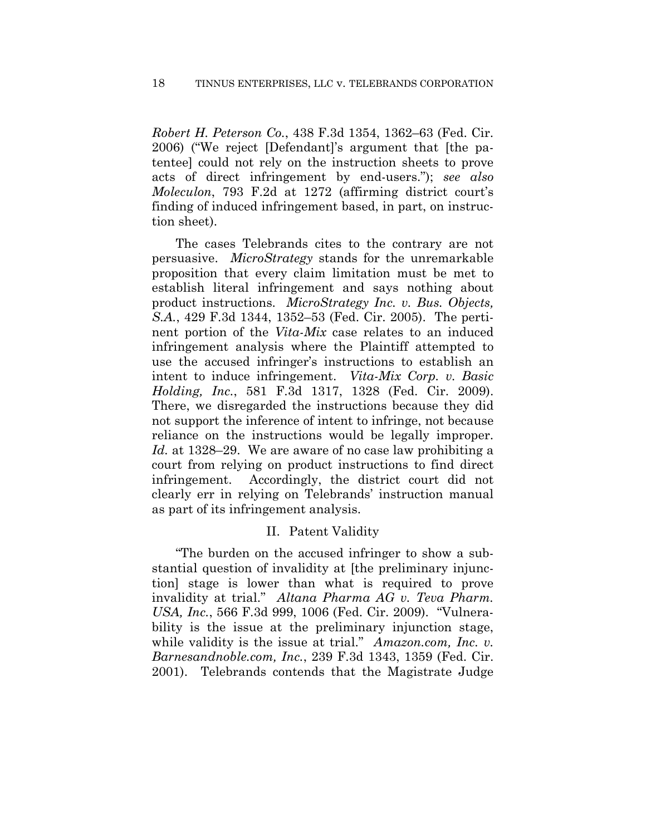*Robert H. Peterson Co.*, 438 F.3d 1354, 1362–63 (Fed. Cir. 2006) ("We reject [Defendant]'s argument that [the patentee] could not rely on the instruction sheets to prove acts of direct infringement by end-users."); *see also Moleculon*, 793 F.2d at 1272 (affirming district court's finding of induced infringement based, in part, on instruction sheet).

The cases Telebrands cites to the contrary are not persuasive. *MicroStrategy* stands for the unremarkable proposition that every claim limitation must be met to establish literal infringement and says nothing about product instructions. *MicroStrategy Inc. v. Bus. Objects, S.A.*, 429 F.3d 1344, 1352–53 (Fed. Cir. 2005). The pertinent portion of the *Vita-Mix* case relates to an induced infringement analysis where the Plaintiff attempted to use the accused infringer's instructions to establish an intent to induce infringement. *Vita-Mix Corp. v. Basic Holding, Inc.*, 581 F.3d 1317, 1328 (Fed. Cir. 2009). There, we disregarded the instructions because they did not support the inference of intent to infringe, not because reliance on the instructions would be legally improper. *Id.* at 1328–29. We are aware of no case law prohibiting a court from relying on product instructions to find direct infringement. Accordingly, the district court did not clearly err in relying on Telebrands' instruction manual as part of its infringement analysis.

# II. Patent Validity

"The burden on the accused infringer to show a substantial question of invalidity at [the preliminary injunction] stage is lower than what is required to prove invalidity at trial." *Altana Pharma AG v. Teva Pharm. USA, Inc.*, 566 F.3d 999, 1006 (Fed. Cir. 2009). "Vulnerability is the issue at the preliminary injunction stage, while validity is the issue at trial." *Amazon.com, Inc. v. Barnesandnoble.com, Inc.*, 239 F.3d 1343, 1359 (Fed. Cir. 2001). Telebrands contends that the Magistrate Judge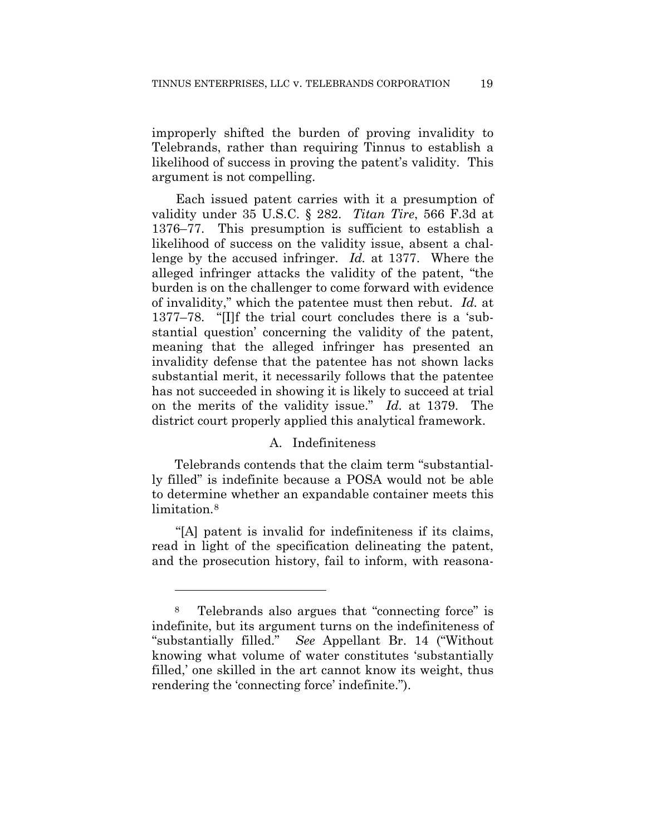improperly shifted the burden of proving invalidity to Telebrands, rather than requiring Tinnus to establish a likelihood of success in proving the patent's validity. This argument is not compelling.

Each issued patent carries with it a presumption of validity under 35 U.S.C. § 282. *Titan Tire*, 566 F.3d at 1376–77. This presumption is sufficient to establish a likelihood of success on the validity issue, absent a challenge by the accused infringer. *Id.* at 1377. Where the alleged infringer attacks the validity of the patent, "the burden is on the challenger to come forward with evidence of invalidity," which the patentee must then rebut. *Id.* at 1377–78. "[I]f the trial court concludes there is a 'substantial question' concerning the validity of the patent, meaning that the alleged infringer has presented an invalidity defense that the patentee has not shown lacks substantial merit, it necessarily follows that the patentee has not succeeded in showing it is likely to succeed at trial on the merits of the validity issue." *Id.* at 1379. The district court properly applied this analytical framework.

## A. Indefiniteness

Telebrands contends that the claim term "substantially filled" is indefinite because a POSA would not be able to determine whether an expandable container meets this limitation.<sup>8</sup>

"[A] patent is invalid for indefiniteness if its claims, read in light of the specification delineating the patent, and the prosecution history, fail to inform, with reasona-

<u>.</u>

<sup>8</sup> Telebrands also argues that "connecting force" is indefinite, but its argument turns on the indefiniteness of "substantially filled." *See* Appellant Br. 14 ("Without knowing what volume of water constitutes 'substantially filled,' one skilled in the art cannot know its weight, thus rendering the 'connecting force' indefinite.").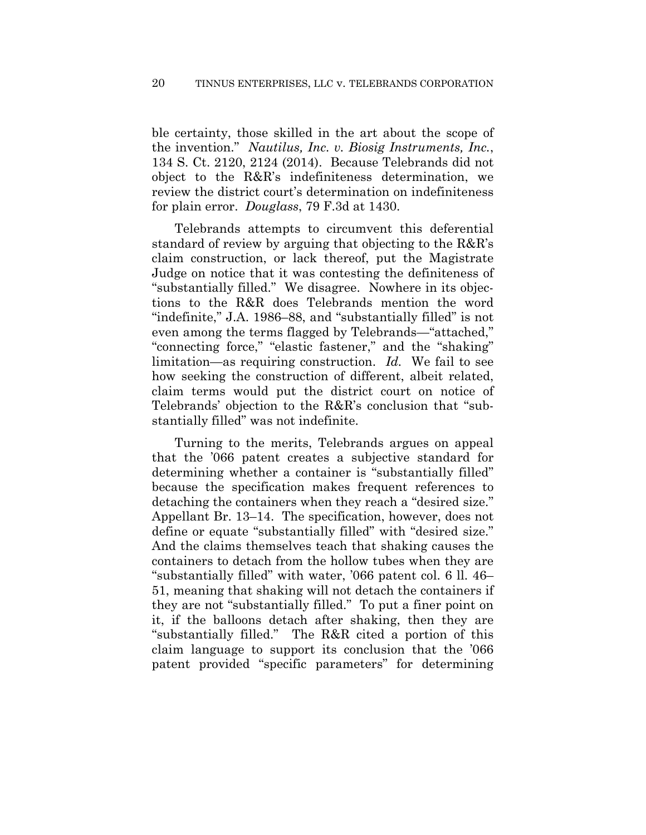ble certainty, those skilled in the art about the scope of the invention." *Nautilus, Inc. v. Biosig Instruments, Inc.*, 134 S. Ct. 2120, 2124 (2014). Because Telebrands did not object to the R&R's indefiniteness determination, we review the district court's determination on indefiniteness for plain error. *Douglass*, 79 F.3d at 1430.

Telebrands attempts to circumvent this deferential standard of review by arguing that objecting to the R&R's claim construction, or lack thereof, put the Magistrate Judge on notice that it was contesting the definiteness of "substantially filled." We disagree. Nowhere in its objections to the R&R does Telebrands mention the word "indefinite," J.A. 1986–88, and "substantially filled" is not even among the terms flagged by Telebrands—"attached," "connecting force," "elastic fastener," and the "shaking" limitation—as requiring construction. *Id.* We fail to see how seeking the construction of different, albeit related, claim terms would put the district court on notice of Telebrands' objection to the R&R's conclusion that "substantially filled" was not indefinite.

Turning to the merits, Telebrands argues on appeal that the '066 patent creates a subjective standard for determining whether a container is "substantially filled" because the specification makes frequent references to detaching the containers when they reach a "desired size." Appellant Br. 13–14. The specification, however, does not define or equate "substantially filled" with "desired size." And the claims themselves teach that shaking causes the containers to detach from the hollow tubes when they are "substantially filled" with water, '066 patent col. 6 ll. 46– 51, meaning that shaking will not detach the containers if they are not "substantially filled." To put a finer point on it, if the balloons detach after shaking, then they are "substantially filled." The R&R cited a portion of this claim language to support its conclusion that the '066 patent provided "specific parameters" for determining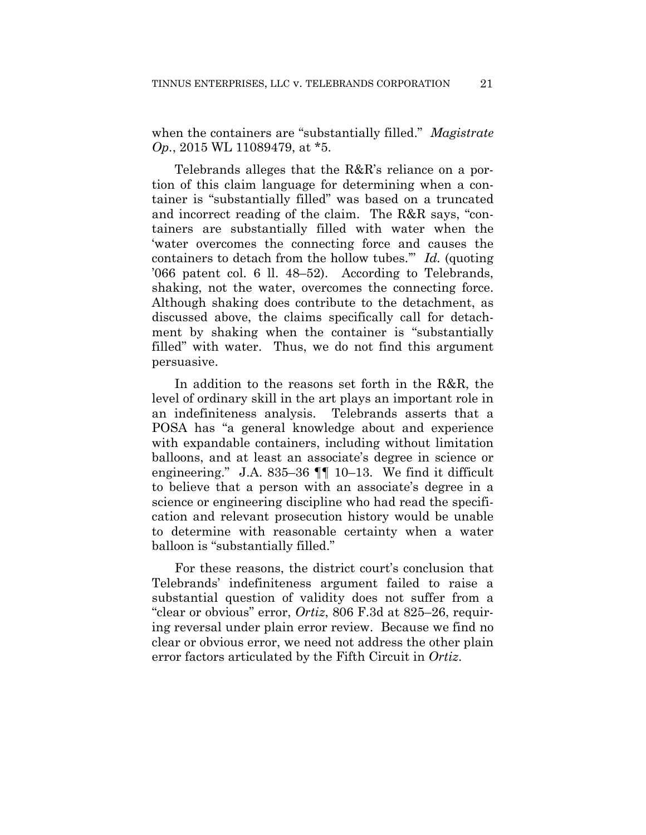when the containers are "substantially filled." *Magistrate Op.*, 2015 WL 11089479, at \*5.

Telebrands alleges that the R&R's reliance on a portion of this claim language for determining when a container is "substantially filled" was based on a truncated and incorrect reading of the claim. The R&R says, "containers are substantially filled with water when the 'water overcomes the connecting force and causes the containers to detach from the hollow tubes.'" *Id.* (quoting '066 patent col. 6 ll. 48–52). According to Telebrands, shaking, not the water, overcomes the connecting force. Although shaking does contribute to the detachment, as discussed above, the claims specifically call for detachment by shaking when the container is "substantially filled" with water. Thus, we do not find this argument persuasive.

In addition to the reasons set forth in the R&R, the level of ordinary skill in the art plays an important role in an indefiniteness analysis. Telebrands asserts that a POSA has "a general knowledge about and experience with expandable containers, including without limitation balloons, and at least an associate's degree in science or engineering." J.A. 835–36  $\P\P$  10–13. We find it difficult to believe that a person with an associate's degree in a science or engineering discipline who had read the specification and relevant prosecution history would be unable to determine with reasonable certainty when a water balloon is "substantially filled."

For these reasons, the district court's conclusion that Telebrands' indefiniteness argument failed to raise a substantial question of validity does not suffer from a "clear or obvious" error, *Ortiz*, 806 F.3d at 825–26, requiring reversal under plain error review. Because we find no clear or obvious error, we need not address the other plain error factors articulated by the Fifth Circuit in *Ortiz*.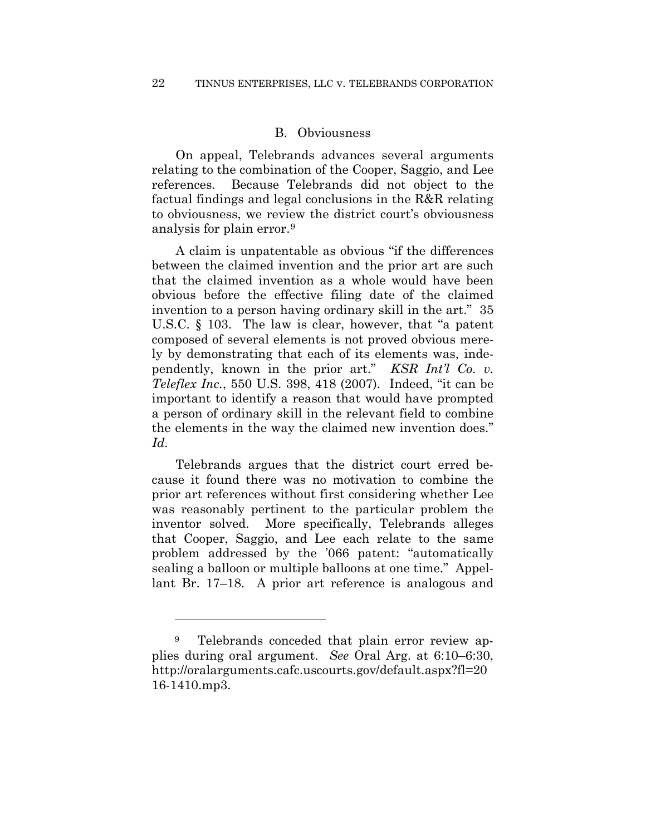#### B. Obviousness

On appeal, Telebrands advances several arguments relating to the combination of the Cooper, Saggio, and Lee references. Because Telebrands did not object to the factual findings and legal conclusions in the R&R relating to obviousness, we review the district court's obviousness analysis for plain error.9

A claim is unpatentable as obvious "if the differences between the claimed invention and the prior art are such that the claimed invention as a whole would have been obvious before the effective filing date of the claimed invention to a person having ordinary skill in the art." 35 U.S.C. § 103. The law is clear, however, that "a patent composed of several elements is not proved obvious merely by demonstrating that each of its elements was, independently, known in the prior art." *KSR Int'l Co. v. Teleflex Inc.*, 550 U.S. 398, 418 (2007). Indeed, "it can be important to identify a reason that would have prompted a person of ordinary skill in the relevant field to combine the elements in the way the claimed new invention does." *Id.*

Telebrands argues that the district court erred because it found there was no motivation to combine the prior art references without first considering whether Lee was reasonably pertinent to the particular problem the inventor solved. More specifically, Telebrands alleges that Cooper, Saggio, and Lee each relate to the same problem addressed by the '066 patent: "automatically sealing a balloon or multiple balloons at one time." Appellant Br. 17–18. A prior art reference is analogous and

<u>.</u>

<sup>&</sup>lt;sup>9</sup> Telebrands conceded that plain error review applies during oral argument. *See* Oral Arg. at 6:10–6:30, http://oralarguments.cafc.uscourts.gov/default.aspx?fl=20 16-1410.mp3.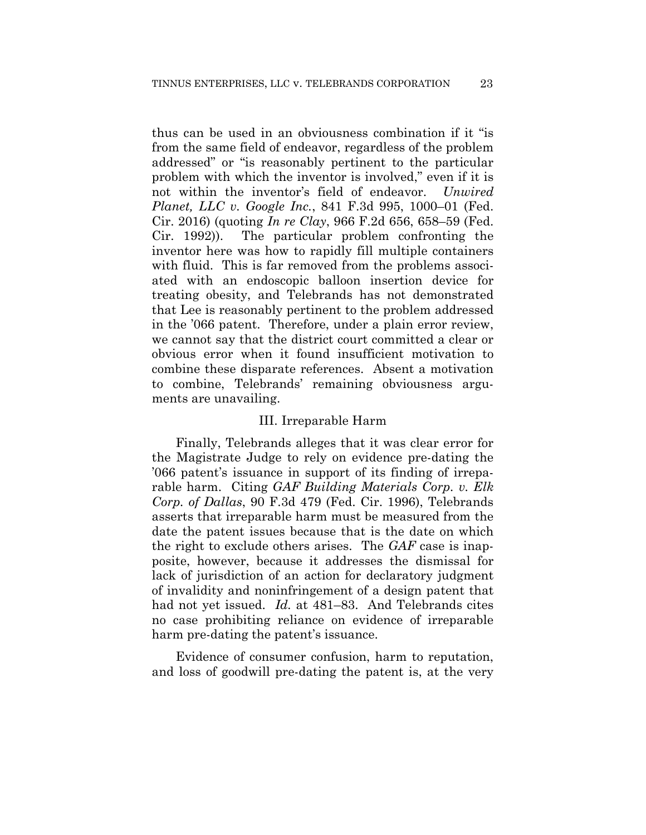thus can be used in an obviousness combination if it "is from the same field of endeavor, regardless of the problem addressed" or "is reasonably pertinent to the particular problem with which the inventor is involved," even if it is not within the inventor's field of endeavor. *Unwired Planet, LLC v. Google Inc.*, 841 F.3d 995, 1000–01 (Fed. Cir. 2016) (quoting *In re Clay*, 966 F.2d 656, 658–59 (Fed. Cir. 1992)). The particular problem confronting the inventor here was how to rapidly fill multiple containers with fluid. This is far removed from the problems associated with an endoscopic balloon insertion device for treating obesity, and Telebrands has not demonstrated that Lee is reasonably pertinent to the problem addressed in the '066 patent. Therefore, under a plain error review, we cannot say that the district court committed a clear or obvious error when it found insufficient motivation to combine these disparate references. Absent a motivation to combine, Telebrands' remaining obviousness arguments are unavailing.

#### III. Irreparable Harm

Finally, Telebrands alleges that it was clear error for the Magistrate Judge to rely on evidence pre-dating the '066 patent's issuance in support of its finding of irreparable harm. Citing *GAF Building Materials Corp. v. Elk Corp. of Dallas*, 90 F.3d 479 (Fed. Cir. 1996), Telebrands asserts that irreparable harm must be measured from the date the patent issues because that is the date on which the right to exclude others arises. The *GAF* case is inapposite, however, because it addresses the dismissal for lack of jurisdiction of an action for declaratory judgment of invalidity and noninfringement of a design patent that had not yet issued. *Id.* at 481–83. And Telebrands cites no case prohibiting reliance on evidence of irreparable harm pre-dating the patent's issuance.

Evidence of consumer confusion, harm to reputation, and loss of goodwill pre-dating the patent is, at the very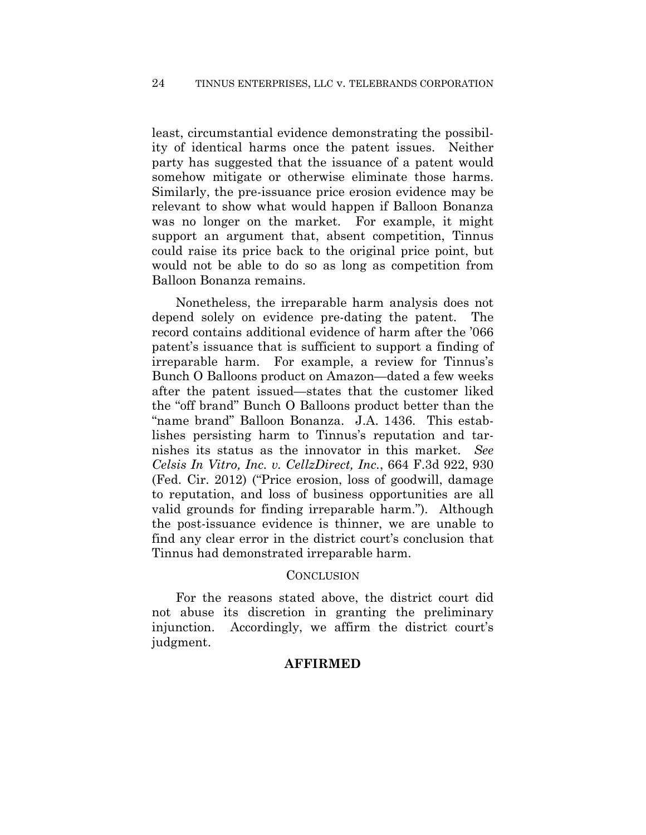least, circumstantial evidence demonstrating the possibility of identical harms once the patent issues. Neither party has suggested that the issuance of a patent would somehow mitigate or otherwise eliminate those harms. Similarly, the pre-issuance price erosion evidence may be relevant to show what would happen if Balloon Bonanza was no longer on the market. For example, it might support an argument that, absent competition, Tinnus could raise its price back to the original price point, but would not be able to do so as long as competition from Balloon Bonanza remains.

Nonetheless, the irreparable harm analysis does not depend solely on evidence pre-dating the patent. The record contains additional evidence of harm after the '066 patent's issuance that is sufficient to support a finding of irreparable harm. For example, a review for Tinnus's Bunch O Balloons product on Amazon—dated a few weeks after the patent issued—states that the customer liked the "off brand" Bunch O Balloons product better than the "name brand" Balloon Bonanza. J.A. 1436. This establishes persisting harm to Tinnus's reputation and tarnishes its status as the innovator in this market. *See Celsis In Vitro, Inc. v. CellzDirect, Inc.*, 664 F.3d 922, 930 (Fed. Cir. 2012) ("Price erosion, loss of goodwill, damage to reputation, and loss of business opportunities are all valid grounds for finding irreparable harm."). Although the post-issuance evidence is thinner, we are unable to find any clear error in the district court's conclusion that Tinnus had demonstrated irreparable harm.

#### **CONCLUSION**

For the reasons stated above, the district court did not abuse its discretion in granting the preliminary injunction. Accordingly, we affirm the district court's judgment.

# **AFFIRMED**